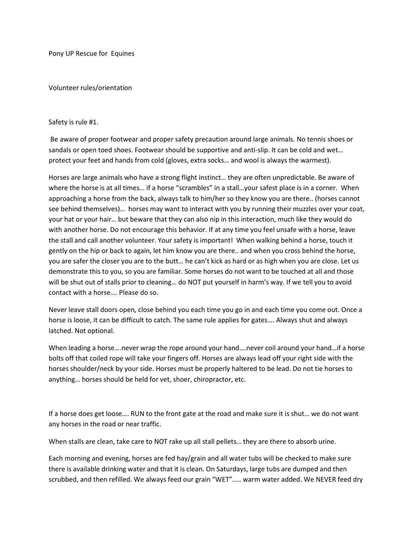Pony UP Rescue for Equines

Volunteer rules/orientation

## Safety is rule #1.

Be aware of proper footwear and proper safety precaution around large animals. No tennis shoes or sandals or open toed shoes. Footwear should be supportive and anti-slip. It can be cold and wet… protect your feet and hands from cold (gloves, extra socks… and wool is always the warmest).

Horses are large animals who have a strong flight instinct… they are often unpredictable. Be aware of where the horse is at all times... if a horse "scrambles" in a stall... your safest place is in a corner. When approaching a horse from the back, always talk to him/her so they know you are there.. (horses cannot see behind themselves)… horses may want to interact with you by running their muzzles over your coat, your hat or your hair… but beware that they can also nip in this interaction, much like they would do with another horse. Do not encourage this behavior. If at any time you feel unsafe with a horse, leave the stall and call another volunteer. Your safety is important! When walking behind a horse, touch it gently on the hip or back to again, let him know you are there.. and when you cross behind the horse, you are safer the closer you are to the butt… he can't kick as hard or as high when you are close. Let us demonstrate this to you, so you are familiar. Some horses do not want to be touched at all and those will be shut out of stalls prior to cleaning… do NOT put yourself in harm's way. If we tell you to avoid contact with a horse…. Please do so.

Never leave stall doors open, close behind you each time you go in and each time you come out. Once a horse is loose, it can be difficult to catch. The same rule applies for gates…. Always shut and always latched. Not optional.

When leading a horse....never wrap the rope around your hand....never coil around your hand...if a horse bolts off that coiled rope will take your fingers off. Horses are always lead off your right side with the horses shoulder/neck by your side. Horses must be properly haltered to be lead. Do not tie horses to anything… horses should be held for vet, shoer, chiropractor, etc.

If a horse does get loose…. RUN to the front gate at the road and make sure it is shut… we do not want any horses in the road or near traffic.

When stalls are clean, take care to NOT rake up all stall pellets… they are there to absorb urine.

Each morning and evening, horses are fed hay/grain and all water tubs will be checked to make sure there is available drinking water and that it is clean. On Saturdays, large tubs are dumped and then scrubbed, and then refilled. We always feed our grain "WET"….. warm water added. We NEVER feed dry